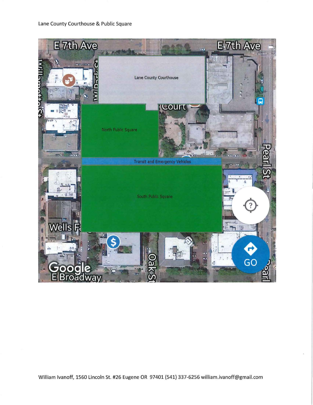

William Ivanoff, 1560 Lincoln St. #26 Eugene OR 97401 (541) 337-6256 william.ivanoff@gmail.com